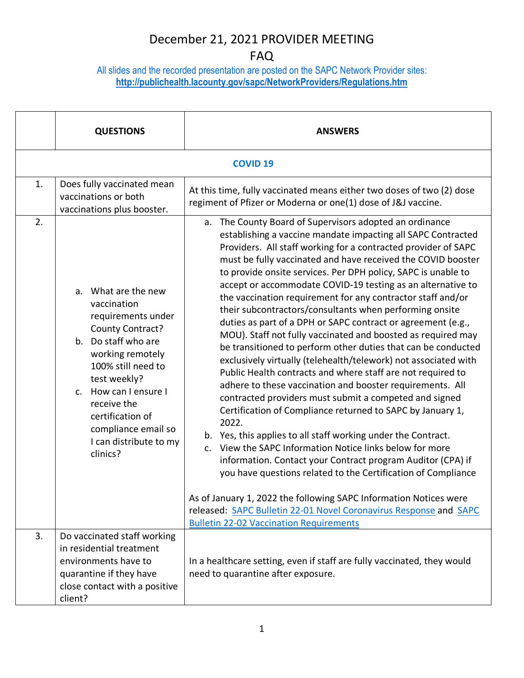#### FAQ

All slides and the recorded presentation are posted on the SAPC Network Provider sites: **<http://publichealth.lacounty.gov/sapc/NetworkProviders/Regulations.htm>**

|    | <b>QUESTIONS</b>                                                                                                                                                                                                                                                                       | <b>ANSWERS</b>                                                                                                                                                                                                                                                                                                                                                                                                                                                                                                                                                                                                                                                                                                                                                                                                                                                                                                                                                                                                                                                                                                                                                                                                                                                                                                                                                                                                                                                                                                |  |  |  |
|----|----------------------------------------------------------------------------------------------------------------------------------------------------------------------------------------------------------------------------------------------------------------------------------------|---------------------------------------------------------------------------------------------------------------------------------------------------------------------------------------------------------------------------------------------------------------------------------------------------------------------------------------------------------------------------------------------------------------------------------------------------------------------------------------------------------------------------------------------------------------------------------------------------------------------------------------------------------------------------------------------------------------------------------------------------------------------------------------------------------------------------------------------------------------------------------------------------------------------------------------------------------------------------------------------------------------------------------------------------------------------------------------------------------------------------------------------------------------------------------------------------------------------------------------------------------------------------------------------------------------------------------------------------------------------------------------------------------------------------------------------------------------------------------------------------------------|--|--|--|
|    | <b>COVID 19</b>                                                                                                                                                                                                                                                                        |                                                                                                                                                                                                                                                                                                                                                                                                                                                                                                                                                                                                                                                                                                                                                                                                                                                                                                                                                                                                                                                                                                                                                                                                                                                                                                                                                                                                                                                                                                               |  |  |  |
| 1. | Does fully vaccinated mean<br>vaccinations or both<br>vaccinations plus booster.                                                                                                                                                                                                       | At this time, fully vaccinated means either two doses of two (2) dose<br>regiment of Pfizer or Moderna or one(1) dose of J&J vaccine.                                                                                                                                                                                                                                                                                                                                                                                                                                                                                                                                                                                                                                                                                                                                                                                                                                                                                                                                                                                                                                                                                                                                                                                                                                                                                                                                                                         |  |  |  |
| 2. | a. What are the new<br>vaccination<br>requirements under<br>County Contract?<br>b. Do staff who are<br>working remotely<br>100% still need to<br>test weekly?<br>c. How can I ensure I<br>receive the<br>certification of<br>compliance email so<br>I can distribute to my<br>clinics? | a. The County Board of Supervisors adopted an ordinance<br>establishing a vaccine mandate impacting all SAPC Contracted<br>Providers. All staff working for a contracted provider of SAPC<br>must be fully vaccinated and have received the COVID booster<br>to provide onsite services. Per DPH policy, SAPC is unable to<br>accept or accommodate COVID-19 testing as an alternative to<br>the vaccination requirement for any contractor staff and/or<br>their subcontractors/consultants when performing onsite<br>duties as part of a DPH or SAPC contract or agreement (e.g.,<br>MOU). Staff not fully vaccinated and boosted as required may<br>be transitioned to perform other duties that can be conducted<br>exclusively virtually (telehealth/telework) not associated with<br>Public Health contracts and where staff are not required to<br>adhere to these vaccination and booster requirements. All<br>contracted providers must submit a competed and signed<br>Certification of Compliance returned to SAPC by January 1,<br>2022.<br>b. Yes, this applies to all staff working under the Contract.<br>c. View the SAPC Information Notice links below for more<br>information. Contact your Contract program Auditor (CPA) if<br>you have questions related to the Certification of Compliance<br>As of January 1, 2022 the following SAPC Information Notices were<br>released: SAPC Bulletin 22-01 Novel Coronavirus Response and SAPC<br><b>Bulletin 22-02 Vaccination Requirements</b> |  |  |  |
| 3. | Do vaccinated staff working<br>in residential treatment<br>environments have to<br>quarantine if they have<br>close contact with a positive<br>client?                                                                                                                                 | In a healthcare setting, even if staff are fully vaccinated, they would<br>need to quarantine after exposure.                                                                                                                                                                                                                                                                                                                                                                                                                                                                                                                                                                                                                                                                                                                                                                                                                                                                                                                                                                                                                                                                                                                                                                                                                                                                                                                                                                                                 |  |  |  |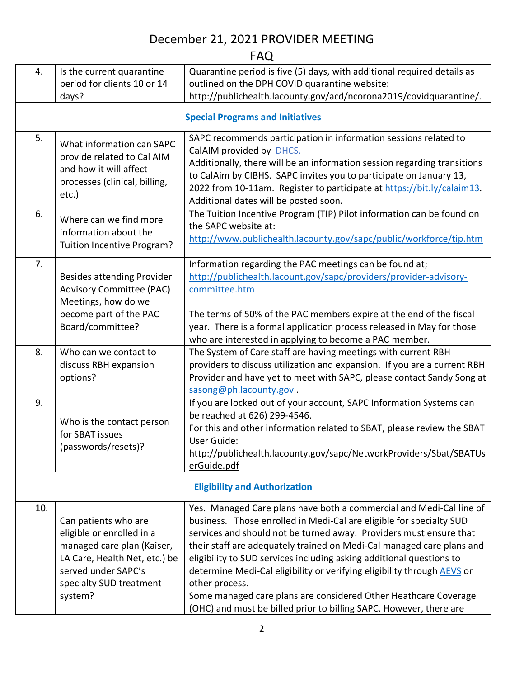#### FAQ

| 4.                                   | Is the current quarantine                                                                                                                                                     | Quarantine period is five (5) days, with additional required details as                                                                                                                                                                                                                                                                                                                                                                                                                                                                                                                                 |  |  |
|--------------------------------------|-------------------------------------------------------------------------------------------------------------------------------------------------------------------------------|---------------------------------------------------------------------------------------------------------------------------------------------------------------------------------------------------------------------------------------------------------------------------------------------------------------------------------------------------------------------------------------------------------------------------------------------------------------------------------------------------------------------------------------------------------------------------------------------------------|--|--|
|                                      | period for clients 10 or 14<br>days?                                                                                                                                          | outlined on the DPH COVID quarantine website:<br>http://publichealth.lacounty.gov/acd/ncorona2019/covidquarantine/.                                                                                                                                                                                                                                                                                                                                                                                                                                                                                     |  |  |
|                                      |                                                                                                                                                                               |                                                                                                                                                                                                                                                                                                                                                                                                                                                                                                                                                                                                         |  |  |
|                                      |                                                                                                                                                                               | <b>Special Programs and Initiatives</b>                                                                                                                                                                                                                                                                                                                                                                                                                                                                                                                                                                 |  |  |
| 5.                                   | What information can SAPC<br>provide related to Cal AIM<br>and how it will affect<br>processes (clinical, billing,<br>etc.)                                                   | SAPC recommends participation in information sessions related to<br>CalAIM provided by DHCS.<br>Additionally, there will be an information session regarding transitions<br>to CalAim by CIBHS. SAPC invites you to participate on January 13,<br>2022 from 10-11am. Register to participate at https://bit.ly/calaim13.<br>Additional dates will be posted soon.                                                                                                                                                                                                                                       |  |  |
| 6.                                   | Where can we find more<br>information about the<br><b>Tuition Incentive Program?</b>                                                                                          | The Tuition Incentive Program (TIP) Pilot information can be found on<br>the SAPC website at:<br>http://www.publichealth.lacounty.gov/sapc/public/workforce/tip.htm                                                                                                                                                                                                                                                                                                                                                                                                                                     |  |  |
| 7.                                   | <b>Besides attending Provider</b><br><b>Advisory Committee (PAC)</b><br>Meetings, how do we<br>become part of the PAC<br>Board/committee?                                     | Information regarding the PAC meetings can be found at;<br>http://publichealth.lacount.gov/sapc/providers/provider-advisory-<br>committee.htm<br>The terms of 50% of the PAC members expire at the end of the fiscal<br>year. There is a formal application process released in May for those<br>who are interested in applying to become a PAC member.                                                                                                                                                                                                                                                 |  |  |
| 8.                                   | Who can we contact to<br>discuss RBH expansion<br>options?                                                                                                                    | The System of Care staff are having meetings with current RBH<br>providers to discuss utilization and expansion. If you are a current RBH<br>Provider and have yet to meet with SAPC, please contact Sandy Song at<br>sasong@ph.lacounty.gov.                                                                                                                                                                                                                                                                                                                                                           |  |  |
| 9.                                   | Who is the contact person<br>for SBAT issues<br>(passwords/resets)?                                                                                                           | If you are locked out of your account, SAPC Information Systems can<br>be reached at 626) 299-4546.<br>For this and other information related to SBAT, please review the SBAT<br>User Guide:<br>http://publichealth.lacounty.gov/sapc/NetworkProviders/Sbat/SBATUs<br>erGuide.pdf                                                                                                                                                                                                                                                                                                                       |  |  |
| <b>Eligibility and Authorization</b> |                                                                                                                                                                               |                                                                                                                                                                                                                                                                                                                                                                                                                                                                                                                                                                                                         |  |  |
| 10.                                  | Can patients who are<br>eligible or enrolled in a<br>managed care plan (Kaiser,<br>LA Care, Health Net, etc.) be<br>served under SAPC's<br>specialty SUD treatment<br>system? | Yes. Managed Care plans have both a commercial and Medi-Cal line of<br>business. Those enrolled in Medi-Cal are eligible for specialty SUD<br>services and should not be turned away. Providers must ensure that<br>their staff are adequately trained on Medi-Cal managed care plans and<br>eligibility to SUD services including asking additional questions to<br>determine Medi-Cal eligibility or verifying eligibility through AEVS or<br>other process.<br>Some managed care plans are considered Other Heathcare Coverage<br>(OHC) and must be billed prior to billing SAPC. However, there are |  |  |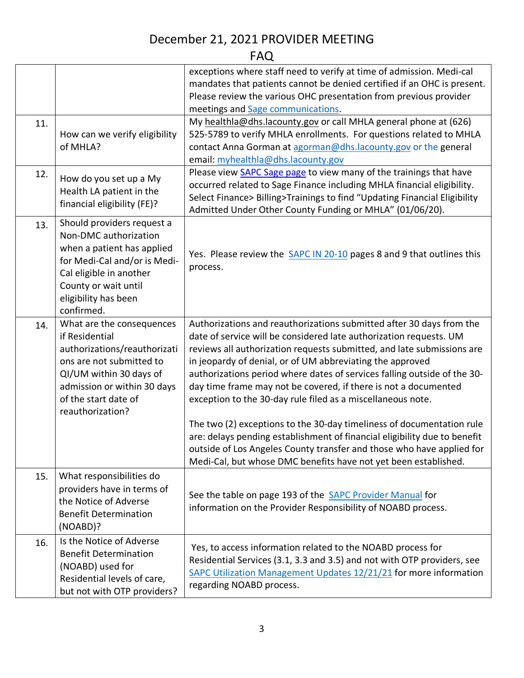### FAQ

|  |     |                                                                                   | exceptions where staff need to verify at time of admission. Medi-cal      |
|--|-----|-----------------------------------------------------------------------------------|---------------------------------------------------------------------------|
|  |     |                                                                                   | mandates that patients cannot be denied certified if an OHC is present.   |
|  |     |                                                                                   | Please review the various OHC presentation from previous provider         |
|  |     |                                                                                   | meetings and Sage communications.                                         |
|  | 11. |                                                                                   | My healthla@dhs.lacounty.gov or call MHLA general phone at (626)          |
|  |     | How can we verify eligibility                                                     | 525-5789 to verify MHLA enrollments. For questions related to MHLA        |
|  |     | of MHLA?                                                                          | contact Anna Gorman at agorman@dhs.lacounty.gov or the general            |
|  |     |                                                                                   | email: myhealthla@dhs.lacounty.gov                                        |
|  | 12. | How do you set up a My<br>Health LA patient in the<br>financial eligibility (FE)? | Please view SAPC Sage page to view many of the trainings that have        |
|  |     |                                                                                   | occurred related to Sage Finance including MHLA financial eligibility.    |
|  |     |                                                                                   | Select Finance> Billing>Trainings to find "Updating Financial Eligibility |
|  |     |                                                                                   | Admitted Under Other County Funding or MHLA" (01/06/20).                  |
|  | 13. | Should providers request a                                                        |                                                                           |
|  |     | Non-DMC authorization                                                             |                                                                           |
|  |     | when a patient has applied                                                        | Yes. Please review the SAPC IN 20-10 pages 8 and 9 that outlines this     |
|  |     | for Medi-Cal and/or is Medi-                                                      | process.                                                                  |
|  |     | Cal eligible in another                                                           |                                                                           |
|  |     | County or wait until                                                              |                                                                           |
|  |     | eligibility has been<br>confirmed.                                                |                                                                           |
|  |     | What are the consequences                                                         | Authorizations and reauthorizations submitted after 30 days from the      |
|  | 14. | if Residential                                                                    | date of service will be considered late authorization requests. UM        |
|  |     | authorizations/reauthorizati                                                      | reviews all authorization requests submitted, and late submissions are    |
|  |     | ons are not submitted to                                                          | in jeopardy of denial, or of UM abbreviating the approved                 |
|  |     | QI/UM within 30 days of                                                           | authorizations period where dates of services falling outside of the 30-  |
|  |     | admission or within 30 days                                                       | day time frame may not be covered, if there is not a documented           |
|  |     | of the start date of                                                              | exception to the 30-day rule filed as a miscellaneous note.               |
|  |     | reauthorization?                                                                  |                                                                           |
|  |     |                                                                                   | The two (2) exceptions to the 30-day timeliness of documentation rule     |
|  |     |                                                                                   | are: delays pending establishment of financial eligibility due to benefit |
|  |     |                                                                                   | outside of Los Angeles County transfer and those who have applied for     |
|  |     |                                                                                   | Medi-Cal, but whose DMC benefits have not yet been established.           |
|  | 15. | What responsibilities do                                                          |                                                                           |
|  |     | providers have in terms of                                                        |                                                                           |
|  |     | the Notice of Adverse                                                             | See the table on page 193 of the <b>SAPC Provider Manual</b> for          |
|  |     | <b>Benefit Determination</b>                                                      | information on the Provider Responsibility of NOABD process.              |
|  |     | (NOABD)?                                                                          |                                                                           |
|  |     | Is the Notice of Adverse                                                          |                                                                           |
|  | 16. | <b>Benefit Determination</b>                                                      | Yes, to access information related to the NOABD process for               |
|  |     | (NOABD) used for<br>Residential levels of care,<br>but not with OTP providers?    | Residential Services (3.1, 3.3 and 3.5) and not with OTP providers, see   |
|  |     |                                                                                   | SAPC Utilization Management Updates 12/21/21 for more information         |
|  |     |                                                                                   | regarding NOABD process.                                                  |
|  |     |                                                                                   |                                                                           |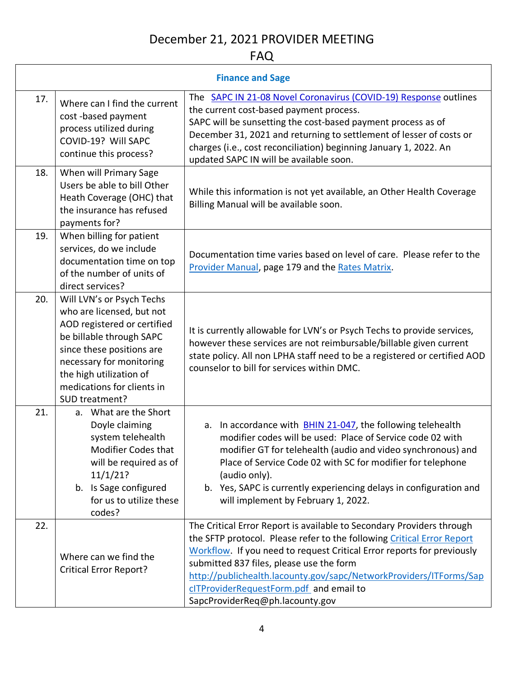### FAQ

| <b>Finance and Sage</b> |                                                                                                                                                                                                                                                       |                                                                                                                                                                                                                                                                                                                                                                                                                           |
|-------------------------|-------------------------------------------------------------------------------------------------------------------------------------------------------------------------------------------------------------------------------------------------------|---------------------------------------------------------------------------------------------------------------------------------------------------------------------------------------------------------------------------------------------------------------------------------------------------------------------------------------------------------------------------------------------------------------------------|
| 17.                     | Where can I find the current<br>cost-based payment<br>process utilized during<br>COVID-19? Will SAPC<br>continue this process?                                                                                                                        | The SAPC IN 21-08 Novel Coronavirus (COVID-19) Response outlines<br>the current cost-based payment process.<br>SAPC will be sunsetting the cost-based payment process as of<br>December 31, 2021 and returning to settlement of lesser of costs or<br>charges (i.e., cost reconciliation) beginning January 1, 2022. An<br>updated SAPC IN will be available soon.                                                        |
| 18.                     | When will Primary Sage<br>Users be able to bill Other<br>Heath Coverage (OHC) that<br>the insurance has refused<br>payments for?                                                                                                                      | While this information is not yet available, an Other Health Coverage<br>Billing Manual will be available soon.                                                                                                                                                                                                                                                                                                           |
| 19.                     | When billing for patient<br>services, do we include<br>documentation time on top<br>of the number of units of<br>direct services?                                                                                                                     | Documentation time varies based on level of care. Please refer to the<br>Provider Manual, page 179 and the Rates Matrix.                                                                                                                                                                                                                                                                                                  |
| 20.                     | Will LVN's or Psych Techs<br>who are licensed, but not<br>AOD registered or certified<br>be billable through SAPC<br>since these positions are<br>necessary for monitoring<br>the high utilization of<br>medications for clients in<br>SUD treatment? | It is currently allowable for LVN's or Psych Techs to provide services,<br>however these services are not reimbursable/billable given current<br>state policy. All non LPHA staff need to be a registered or certified AOD<br>counselor to bill for services within DMC.                                                                                                                                                  |
| 21.                     | a. What are the Short<br>Doyle claiming<br>system telehealth<br><b>Modifier Codes that</b><br>will be required as of<br>11/1/21?<br>b. Is Sage configured<br>for us to utilize these<br>codes?                                                        | a. In accordance with <b>BHIN 21-047</b> , the following telehealth<br>modifier codes will be used: Place of Service code 02 with<br>modifier GT for telehealth (audio and video synchronous) and<br>Place of Service Code 02 with SC for modifier for telephone<br>(audio only).<br>b. Yes, SAPC is currently experiencing delays in configuration and<br>will implement by February 1, 2022.                            |
| 22.                     | Where can we find the<br><b>Critical Error Report?</b>                                                                                                                                                                                                | The Critical Error Report is available to Secondary Providers through<br>the SFTP protocol. Please refer to the following Critical Error Report<br>Workflow. If you need to request Critical Error reports for previously<br>submitted 837 files, please use the form<br>http://publichealth.lacounty.gov/sapc/NetworkProviders/ITForms/Sap<br>cITProviderRequestForm.pdf and email to<br>SapcProviderReq@ph.lacounty.gov |